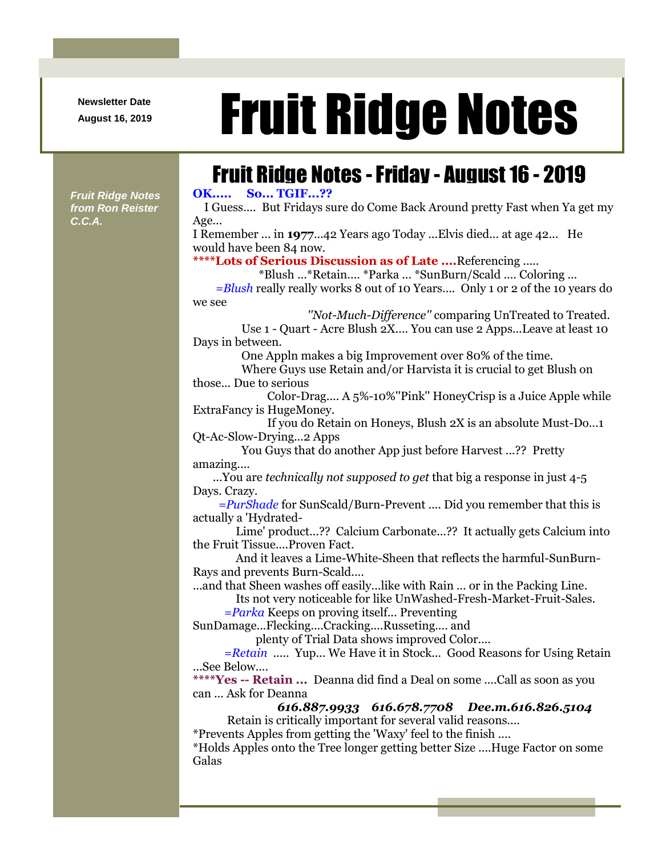**Newsletter Date**

## August 16, 2019 **Fruit Ridge Notes**

## Fruit Ridge Notes -Friday - August 16 - 2019

**OK..... So... TGIF...??**

I Guess.... But Fridays sure do Come Back Around pretty Fast when Ya get my Age...

I Remember ... in **1977**...42 Years ago Today ...Elvis died... at age 42... He would have been 84 now.

**\*\*\*\*Lots of Serious Discussion as of Late ....**Referencing .....

\*Blush ...\*Retain.... \*Parka ... \*SunBurn/Scald .... Coloring ...

*=Blush* really really works 8 out of 10 Years.... Only 1 or 2 of the 10 years do we see

*''Not-Much-Difference''* comparing UnTreated to Treated.

Use 1 - Quart - Acre Blush 2X.... You can use 2 Apps...Leave at least 10 Days in between.

One Appln makes a big Improvement over 80% of the time.

Where Guys use Retain and/or Harvista it is crucial to get Blush on those... Due to serious

Color-Drag.... A 5%-10%''Pink'' HoneyCrisp is a Juice Apple while ExtraFancy is HugeMoney.

If you do Retain on Honeys, Blush 2X is an absolute Must-Do...1 Qt-Ac-Slow-Drying...2 Apps

You Guys that do another App just before Harvest ...?? Pretty amazing....

...You are *technically not supposed to get* that big a response in just 4-5 Days. Crazy.

*=PurShade* for SunScald/Burn-Prevent .... Did you remember that this is actually a 'Hydrated-

Lime' product...?? Calcium Carbonate...?? It actually gets Calcium into the Fruit Tissue....Proven Fact.

And it leaves a Lime-White-Sheen that reflects the harmful-SunBurn-Rays and prevents Burn-Scald....

...and that Sheen washes off easily...like with Rain ... or in the Packing Line.

Its not very noticeable for like UnWashed-Fresh-Market-Fruit-Sales.

*=Parka* Keeps on proving itself... Preventing

SunDamage...Flecking....Cracking....Russeting.... and

plenty of Trial Data shows improved Color....

*=Retain* ..... Yup... We Have it in Stock... Good Reasons for Using Retain ...See Below....

**\*\*\*\*Yes -- Retain ...** Deanna did find a Deal on some ....Call as soon as you can ... Ask for Deanna

*616.887.9933 616.678.7708 Dee.m.616.826.5104* Retain is critically important for several valid reasons....

\*Prevents Apples from getting the 'Waxy' feel to the finish ....

\*Holds Apples onto the Tree longer getting better Size ....Huge Factor on some Galas

*Fruit Ridge Notes from Ron Reister C.C.A.*